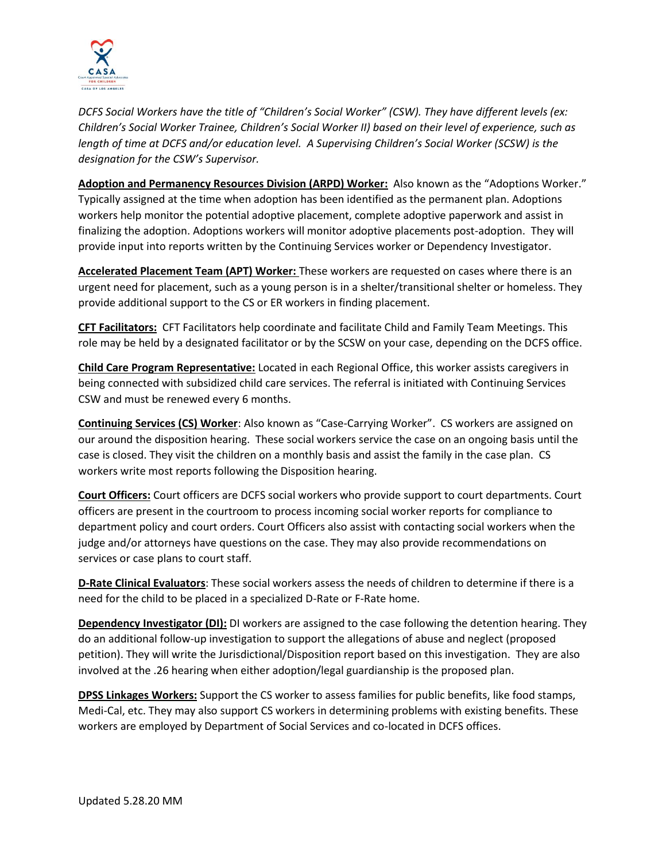

*DCFS Social Workers have the title of "Children's Social Worker" (CSW). They have different levels (ex: Children's Social Worker Trainee, Children's Social Worker II) based on their level of experience, such as length of time at DCFS and/or education level. A Supervising Children's Social Worker (SCSW) is the designation for the CSW's Supervisor.* 

**Adoption and Permanency Resources Division (ARPD) Worker:** Also known as the "Adoptions Worker." Typically assigned at the time when adoption has been identified as the permanent plan. Adoptions workers help monitor the potential adoptive placement, complete adoptive paperwork and assist in finalizing the adoption. Adoptions workers will monitor adoptive placements post-adoption. They will provide input into reports written by the Continuing Services worker or Dependency Investigator.

**Accelerated Placement Team (APT) Worker:** These workers are requested on cases where there is an urgent need for placement, such as a young person is in a shelter/transitional shelter or homeless. They provide additional support to the CS or ER workers in finding placement.

**CFT Facilitators:** CFT Facilitators help coordinate and facilitate Child and Family Team Meetings. This role may be held by a designated facilitator or by the SCSW on your case, depending on the DCFS office.

**Child Care Program Representative:** Located in each Regional Office, this worker assists caregivers in being connected with subsidized child care services. The referral is initiated with Continuing Services CSW and must be renewed every 6 months.

**Continuing Services (CS) Worker**: Also known as "Case-Carrying Worker". CS workers are assigned on our around the disposition hearing. These social workers service the case on an ongoing basis until the case is closed. They visit the children on a monthly basis and assist the family in the case plan. CS workers write most reports following the Disposition hearing.

**Court Officers:** Court officers are DCFS social workers who provide support to court departments. Court officers are present in the courtroom to process incoming social worker reports for compliance to department policy and court orders. Court Officers also assist with contacting social workers when the judge and/or attorneys have questions on the case. They may also provide recommendations on services or case plans to court staff.

**D-Rate Clinical Evaluators**: These social workers assess the needs of children to determine if there is a need for the child to be placed in a specialized D-Rate or F-Rate home.

**Dependency Investigator (DI):** DI workers are assigned to the case following the detention hearing. They do an additional follow-up investigation to support the allegations of abuse and neglect (proposed petition). They will write the Jurisdictional/Disposition report based on this investigation. They are also involved at the .26 hearing when either adoption/legal guardianship is the proposed plan.

**DPSS Linkages Workers:** Support the CS worker to assess families for public benefits, like food stamps, Medi-Cal, etc. They may also support CS workers in determining problems with existing benefits. These workers are employed by Department of Social Services and co-located in DCFS offices.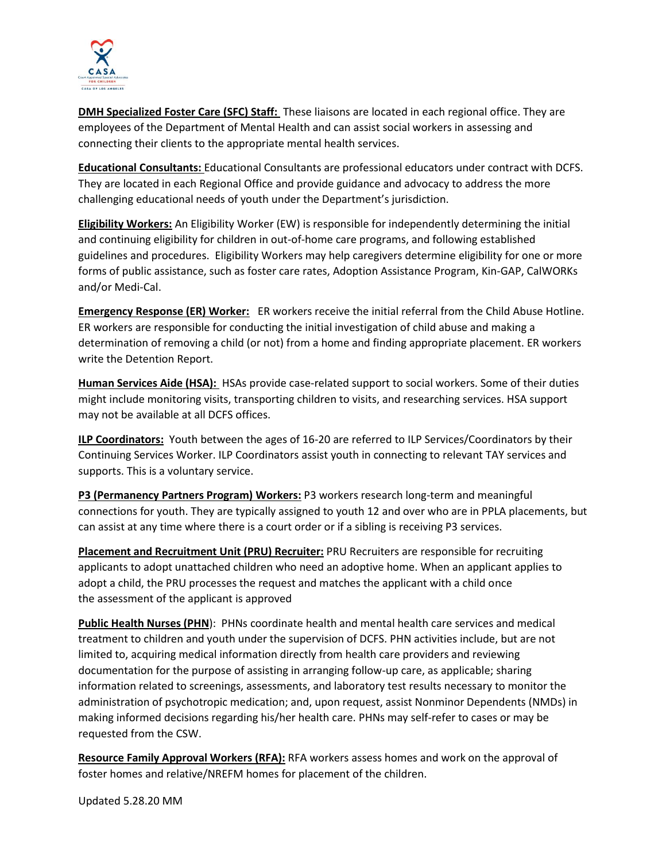

**DMH Specialized Foster Care (SFC) Staff:** These liaisons are located in each regional office. They are employees of the Department of Mental Health and can assist social workers in assessing and connecting their clients to the appropriate mental health services.

**Educational Consultants:** Educational Consultants are professional educators under contract with DCFS. They are located in each Regional Office and provide guidance and advocacy to address the more challenging educational needs of youth under the Department's jurisdiction.

**Eligibility Workers:** An Eligibility Worker (EW) is responsible for independently determining the initial and continuing eligibility for children in out-of-home care programs, and following established guidelines and procedures. Eligibility Workers may help caregivers determine eligibility for one or more forms of public assistance, such as foster care rates, Adoption Assistance Program, Kin-GAP, CalWORKs and/or Medi-Cal.

**Emergency Response (ER) Worker:** ER workers receive the initial referral from the Child Abuse Hotline. ER workers are responsible for conducting the initial investigation of child abuse and making a determination of removing a child (or not) from a home and finding appropriate placement. ER workers write the Detention Report.

**Human Services Aide (HSA):** HSAs provide case-related support to social workers. Some of their duties might include monitoring visits, transporting children to visits, and researching services. HSA support may not be available at all DCFS offices.

**ILP Coordinators:** Youth between the ages of 16-20 are referred to ILP Services/Coordinators by their Continuing Services Worker. ILP Coordinators assist youth in connecting to relevant TAY services and supports. This is a voluntary service.

**P3 (Permanency Partners Program) Workers:** P3 workers research long-term and meaningful connections for youth. They are typically assigned to youth 12 and over who are in PPLA placements, but can assist at any time where there is a court order or if a sibling is receiving P3 services.

**Placement and Recruitment Unit (PRU) Recruiter:** PRU Recruiters are responsible for recruiting applicants to adopt unattached children who need an adoptive home. When an applicant applies to adopt a child, the PRU processes the request and matches the applicant with a child once the assessment of the applicant is approved

**Public Health Nurses (PHN**): PHNs coordinate health and mental health care services and medical treatment to children and youth under the supervision of DCFS. PHN activities include, but are not limited to, acquiring medical information directly from health care providers and reviewing documentation for the purpose of assisting in arranging follow-up care, as applicable; sharing information related to screenings, assessments, and laboratory test results necessary to monitor the administration of psychotropic medication; and, upon request, assist Nonminor Dependents (NMDs) in making informed decisions regarding his/her health care. PHNs may self-refer to cases or may be requested from the CSW.

**Resource Family Approval Workers (RFA):** RFA workers assess homes and work on the approval of foster homes and relative/NREFM homes for placement of the children.

Updated 5.28.20 MM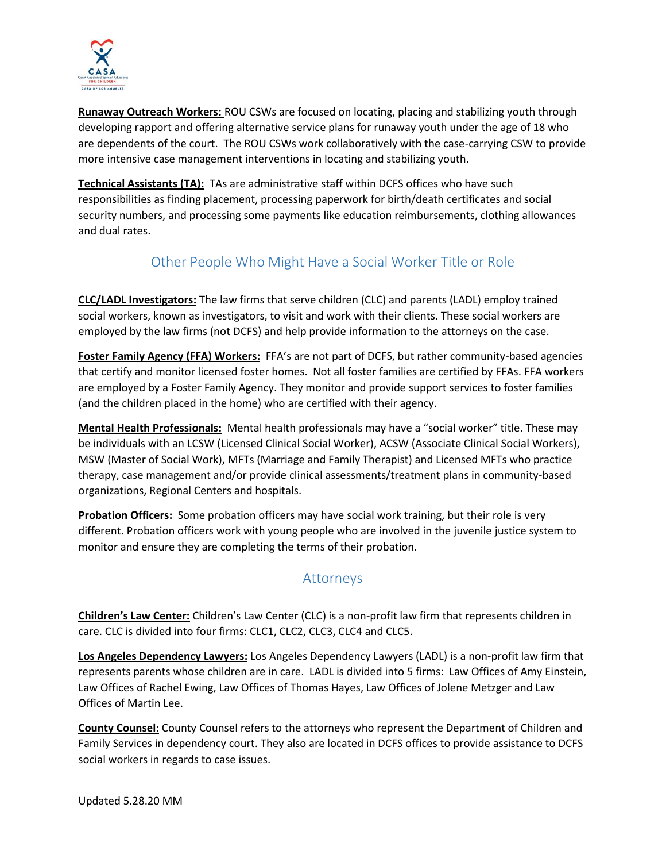

**Runaway Outreach Workers:** ROU CSWs are focused on locating, placing and stabilizing youth through developing rapport and offering alternative service plans for runaway youth under the age of 18 who are dependents of the court. The ROU CSWs work collaboratively with the case-carrying CSW to provide more intensive case management interventions in locating and stabilizing youth.

**Technical Assistants (TA):** TAs are administrative staff within DCFS offices who have such responsibilities as finding placement, processing paperwork for birth/death certificates and social security numbers, and processing some payments like education reimbursements, clothing allowances and dual rates.

## Other People Who Might Have a Social Worker Title or Role

**CLC/LADL Investigators:** The law firms that serve children (CLC) and parents (LADL) employ trained social workers, known as investigators, to visit and work with their clients. These social workers are employed by the law firms (not DCFS) and help provide information to the attorneys on the case.

**Foster Family Agency (FFA) Workers:** FFA's are not part of DCFS, but rather community-based agencies that certify and monitor licensed foster homes. Not all foster families are certified by FFAs. FFA workers are employed by a Foster Family Agency. They monitor and provide support services to foster families (and the children placed in the home) who are certified with their agency.

**Mental Health Professionals:** Mental health professionals may have a "social worker" title. These may be individuals with an LCSW (Licensed Clinical Social Worker), ACSW (Associate Clinical Social Workers), MSW (Master of Social Work), MFTs (Marriage and Family Therapist) and Licensed MFTs who practice therapy, case management and/or provide clinical assessments/treatment plans in community-based organizations, Regional Centers and hospitals.

**Probation Officers:** Some probation officers may have social work training, but their role is very different. Probation officers work with young people who are involved in the juvenile justice system to monitor and ensure they are completing the terms of their probation.

## Attorneys

**Children's Law Center:** Children's Law Center (CLC) is a non-profit law firm that represents children in care. CLC is divided into four firms: CLC1, CLC2, CLC3, CLC4 and CLC5.

**Los Angeles Dependency Lawyers:** Los Angeles Dependency Lawyers (LADL) is a non-profit law firm that represents parents whose children are in care. LADL is divided into 5 firms: Law Offices of Amy Einstein, Law Offices of Rachel Ewing, Law Offices of Thomas Hayes, Law Offices of Jolene Metzger and Law Offices of Martin Lee.

**County Counsel:** County Counsel refers to the attorneys who represent the Department of Children and Family Services in dependency court. They also are located in DCFS offices to provide assistance to DCFS social workers in regards to case issues.